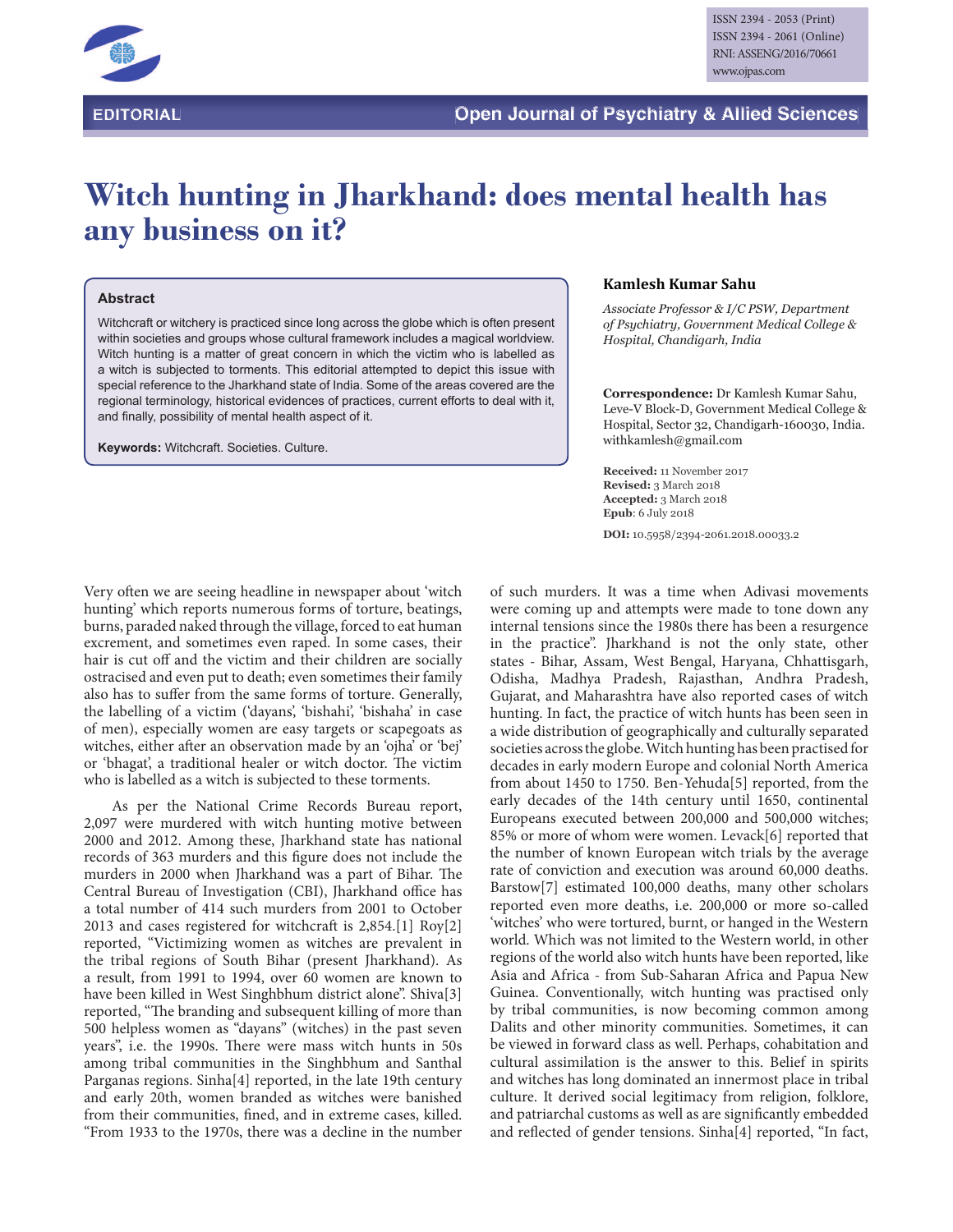

## **Witch hunting in Jharkhand: does mental health has any business on it?**

## **Abstract**

Witchcraft or witchery is practiced since long across the globe which is often present within societies and groups whose cultural framework includes a magical worldview. Witch hunting is a matter of great concern in which the victim who is labelled as a witch is subjected to torments. This editorial attempted to depict this issue with special reference to the Jharkhand state of India. Some of the areas covered are the regional terminology, historical evidences of practices, current efforts to deal with it, and finally, possibility of mental health aspect of it.

**Keywords:** Witchcraft. Societies. Culture.

## **Kamlesh Kumar Sahu**

*Associate Professor & I/C PSW, Department* of Psychiatry, Government Medical College & Hospital, Chandigarh, India

**Correspondence:** Dr Kamlesh Kumar Sahu, Leve-V Block-D, Government Medical College & Hospital, Sector 32, Chandigarh-160030, India. withkamlesh@gmail.com

**Received:** 11 November 2017 **Revised:** 3 March 2018 **Accepted:** 3 March 2018 **Epub**: 6 July 2018

**DOI:** 10.5958/2394-2061.2018.00033.2

Very often we are seeing headline in newspaper about 'witch hunting' which reports numerous forms of torture, beatings, burns, paraded naked through the village, forced to eat human excrement, and sometimes even raped. In some cases, their hair is cut off and the victim and their children are socially ostracised and even put to death; even sometimes their family also has to suffer from the same forms of torture. Generally, the labelling of a victim ('dayans', 'bishahi', 'bishaha' in case of men), especially women are easy targets or scapegoats as witches, either after an observation made by an 'ojha' or 'bej' or 'bhagat', a traditional healer or witch doctor. The victim who is labelled as a witch is subjected to these torments.

As per the National Crime Records Bureau report, 2,097 were murdered with witch hunting motive between 2000 and 2012. Among these, Jharkhand state has national records of 363 murders and this figure does not include the murders in 2000 when Jharkhand was a part of Bihar. The Central Bureau of Investigation (CBI), Jharkhand office has a total number of 414 such murders from 2001 to October 2013 and cases registered for witchcraft is  $2,854$ .[1] Roy[2] reported, "Victimizing women as witches are prevalent in the tribal regions of South Bihar (present Jharkhand). As a result, from 1991 to 1994, over 60 women are known to have been killed in West Singhbhum district alone". Shiva[3] reported, "The branding and subsequent killing of more than 500 helpless women as "dayans" (witches) in the past seven years", i.e. the 1990s. There were mass witch hunts in 50s among tribal communities in the Singhbhum and Santhal Parganas regions. Sinha[4] reported, in the late 19th century and early 20th, women branded as witches were banished from their communities, fined, and in extreme cases, killed. "From 1933 to the 1970s, there was a decline in the number

of such murders. It was a time when Adivasi movements were coming up and attempts were made to tone down any internal tensions since the 1980s there has been a resurgence in the practice". Jharkhand is not the only state, other states - Bihar, Assam, West Bengal, Haryana, Chhattisgarh, Odisha, Madhya Pradesh, Rajasthan, Andhra Pradesh, Gujarat, and Maharashtra have also reported cases of witch hunting. In fact, the practice of witch hunts has been seen in a wide distribution of geographically and culturally separated societies across the globe. Witch hunting has been practised for decades in early modern Europe and colonial North America from about 1450 to 1750. Ben-Yehuda[5] reported, from the early decades of the 14th century until 1650, continental Europeans executed between 200,000 and 500,000 witches; 85% or more of whom were women. Levack[6] reported that the number of known European witch trials by the average rate of conviction and execution was around 60,000 deaths. Barstow[7] estimated 100,000 deaths, many other scholars reported even more deaths, i.e. 200,000 or more so-called 'witches' who were tortured, burnt, or hanged in the Western world. Which was not limited to the Western world, in other regions of the world also witch hunts have been reported, like Asia and Africa - from Sub-Saharan Africa and Papua New Guinea. Conventionally, witch hunting was practised only by tribal communities, is now becoming common among Dalits and other minority communities. Sometimes, it can be viewed in forward class as well. Perhaps, cohabitation and cultural assimilation is the answer to this. Belief in spirits and witches has long dominated an innermost place in tribal culture. It derived social legitimacy from religion, folklore, and patriarchal customs as well as are signicantly embedded and reflected of gender tensions. Sinha[4] reported, "In fact,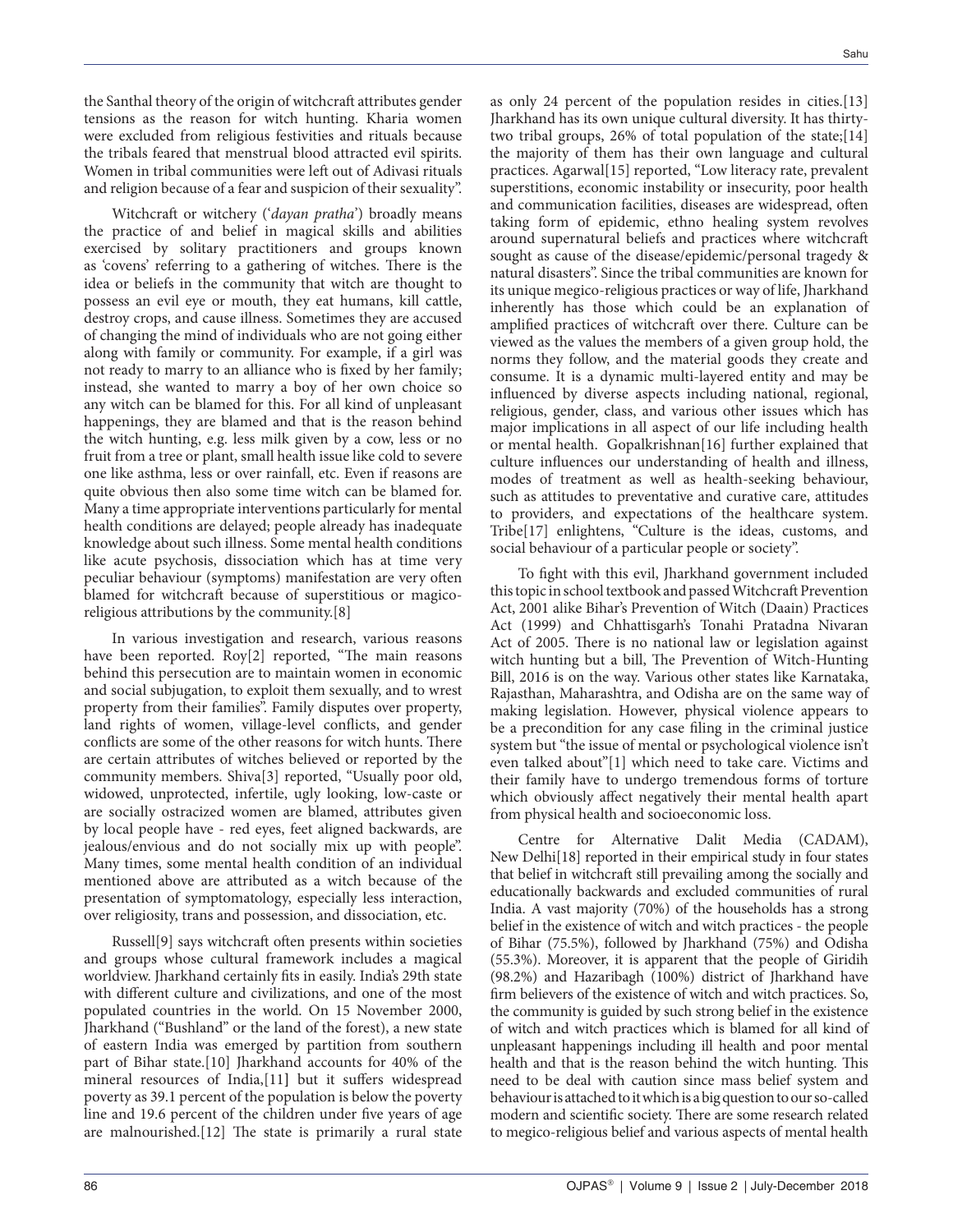the Santhal theory of the origin of witchcraft attributes gender tensions as the reason for witch hunting. Kharia women were excluded from religious festivities and rituals because the tribals feared that menstrual blood attracted evil spirits. Women in tribal communities were left out of Adivasi rituals and religion because of a fear and suspicion of their sexuality".

Witchcraft or witchery ('dayan pratha') broadly means the practice of and belief in magical skills and abilities exercised by solitary practitioners and groups known as 'covens' referring to a gathering of witches. There is the idea or beliefs in the community that witch are thought to possess an evil eye or mouth, they eat humans, kill cattle, destroy crops, and cause illness. Sometimes they are accused of changing the mind of individuals who are not going either along with family or community. For example, if a girl was not ready to marry to an alliance who is fixed by her family; instead, she wanted to marry a boy of her own choice so any witch can be blamed for this. For all kind of unpleasant happenings, they are blamed and that is the reason behind the witch hunting, e.g. less milk given by a cow, less or no fruit from a tree or plant, small health issue like cold to severe one like asthma, less or over rainfall, etc. Even if reasons are quite obvious then also some time witch can be blamed for. Many a time appropriate interventions particularly for mental health conditions are delayed; people already has inadequate knowledge about such illness. Some mental health conditions like acute psychosis, dissociation which has at time very peculiar behaviour (symptoms) manifestation are very often blamed for witchcraft because of superstitious or magicoreligious attributions by the community.[8]

In various investigation and research, various reasons have been reported. Roy[2] reported, "The main reasons behind this persecution are to maintain women in economic and social subjugation, to exploit them sexually, and to wrest property from their families". Family disputes over property, land rights of women, village-level conflicts, and gender conflicts are some of the other reasons for witch hunts. There are certain attributes of witches believed or reported by the community members. Shiva[3] reported, "Usually poor old, widowed, unprotected, infertile, ugly looking, low-caste or are socially ostracized women are blamed, attributes given by local people have - red eyes, feet aligned backwards, are jealous/envious and do not socially mix up with people". Many times, some mental health condition of an individual mentioned above are attributed as a witch because of the presentation of symptomatology, especially less interaction, over religiosity, trans and possession, and dissociation, etc.

Russell[9] says witchcraft often presents within societies and groups whose cultural framework includes a magical worldview. Jharkhand certainly fits in easily. India's 29th state with different culture and civilizations, and one of the most populated countries in the world. On 15 November 2000, Jharkhand ("Bushland" or the land of the forest), a new state of eastern India was emerged by partition from southern part of Bihar state.[10] Jharkhand accounts for 40% of the mineral resources of India, [11] but it suffers widespread poverty as 39.1 percent of the population is below the poverty line and 19.6 percent of the children under five years of age are malnourished. $[12]$  The state is primarily a rural state as only 24 percent of the population resides in cities.[13] Jharkhand has its own unique cultural diversity. It has thirtytwo tribal groups, 26% of total population of the state;[14] the majority of them has their own language and cultural practices. Agarwal[15] reported, "Low literacy rate, prevalent superstitions, economic instability or insecurity, poor health and communication facilities, diseases are widespread, often taking form of epidemic, ethno healing system revolves around supernatural beliefs and practices where witchcraft sought as cause of the disease/epidemic/personal tragedy & natural disasters". Since the tribal communities are known for its unique megico-religious practices or way of life, Jharkhand inherently has those which could be an explanation of amplified practices of witchcraft over there. Culture can be viewed as the values the members of a given group hold, the norms they follow, and the material goods they create and consume. It is a dynamic multi-layered entity and may be influenced by diverse aspects including national, regional, religious, gender, class, and various other issues which has major implications in all aspect of our life including health or mental health. Gopalkrishnan[16] further explained that culture influences our understanding of health and illness, modes of treatment as well as health-seeking behaviour, such as attitudes to preventative and curative care, attitudes to providers, and expectations of the healthcare system. Tribe[17] enlightens, "Culture is the ideas, customs, and social behaviour of a particular people or society".

To fight with this evil, Jharkhand government included this topic in school textbook and passed Witchcraft Prevention Act, 2001 alike Bihar's Prevention of Witch (Daain) Practices Act (1999) and Chhattisgarh's Tonahi Pratadna Nivaran Act of 2005. There is no national law or legislation against witch hunting but a bill, The Prevention of Witch-Hunting Bill, 2016 is on the way. Various other states like Karnataka, Rajasthan, Maharashtra, and Odisha are on the same way of making legislation. However, physical violence appears to be a precondition for any case filing in the criminal justice system but "the issue of mental or psychological violence isn't even talked about"[1] which need to take care. Victims and their family have to undergo tremendous forms of torture which obviously affect negatively their mental health apart from physical health and socioeconomic loss.

Centre for Alternative Dalit Media (CADAM), New Delhi[18] reported in their empirical study in four states that belief in witchcraft still prevailing among the socially and educationally backwards and excluded communities of rural India. A vast majority (70%) of the households has a strong belief in the existence of witch and witch practices - the people of Bihar (75.5%), followed by Jharkhand (75%) and Odisha (55.3%). Moreover, it is apparent that the people of Giridih (98.2%) and Hazaribagh (100%) district of Jharkhand have firm believers of the existence of witch and witch practices. So, the community is guided by such strong belief in the existence of witch and witch practices which is blamed for all kind of unpleasant happenings including ill health and poor mental health and that is the reason behind the witch hunting. This need to be deal with caution since mass belief system and behaviour is attached to it which is a big question to our so-called modern and scientific society. There are some research related to megico-religious belief and various aspects of mental health